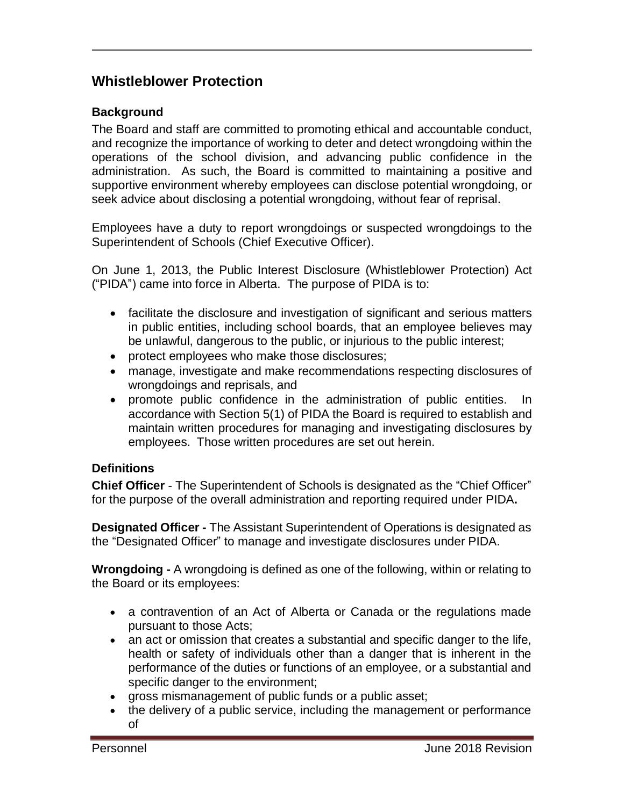# **Whistleblower Protection**

### **Background**

The Board and staff are committed to promoting ethical and accountable conduct, and recognize the importance of working to deter and detect wrongdoing within the operations of the school division, and advancing public confidence in the administration. As such, the Board is committed to maintaining a positive and supportive environment whereby employees can disclose potential wrongdoing, or seek advice about disclosing a potential wrongdoing, without fear of reprisal.

Employees have a duty to report wrongdoings or suspected wrongdoings to the Superintendent of Schools (Chief Executive Officer).

On June 1, 2013, the Public Interest Disclosure (Whistleblower Protection) Act ("PIDA") came into force in Alberta. The purpose of PIDA is to:

- facilitate the disclosure and investigation of significant and serious matters in public entities, including school boards, that an employee believes may be unlawful, dangerous to the public, or injurious to the public interest;
- protect employees who make those disclosures;
- manage, investigate and make recommendations respecting disclosures of wrongdoings and reprisals, and
- promote public confidence in the administration of public entities. In accordance with Section 5(1) of PIDA the Board is required to establish and maintain written procedures for managing and investigating disclosures by employees. Those written procedures are set out herein.

### **Definitions**

**Chief Officer** - The Superintendent of Schools is designated as the "Chief Officer" for the purpose of the overall administration and reporting required under PIDA**.**

**Designated Officer -** The Assistant Superintendent of Operations is designated as the "Designated Officer" to manage and investigate disclosures under PIDA.

**Wrongdoing -** A wrongdoing is defined as one of the following, within or relating to the Board or its employees:

- a contravention of an Act of Alberta or Canada or the regulations made pursuant to those Acts;
- an act or omission that creates a substantial and specific danger to the life, health or safety of individuals other than a danger that is inherent in the performance of the duties or functions of an employee, or a substantial and specific danger to the environment;
- gross mismanagement of public funds or a public asset;
- the delivery of a public service, including the management or performance of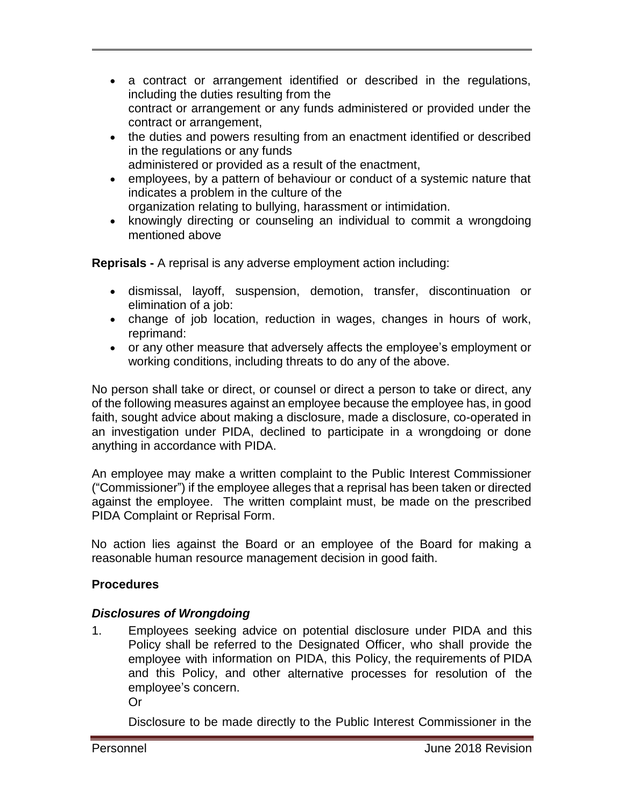- a contract or arrangement identified or described in the regulations, including the duties resulting from the contract or arrangement or any funds administered or provided under the contract or arrangement,
- the duties and powers resulting from an enactment identified or described in the regulations or any funds
	- administered or provided as a result of the enactment,
- employees, by a pattern of behaviour or conduct of a systemic nature that indicates a problem in the culture of the organization relating to bullying, harassment or intimidation.
- knowingly directing or counseling an individual to commit a wrongdoing mentioned above

**Reprisals -** A reprisal is any adverse employment action including:

- dismissal, layoff, suspension, demotion, transfer, discontinuation or elimination of a job:
- change of job location, reduction in wages, changes in hours of work, reprimand:
- or any other measure that adversely affects the employee's employment or working conditions, including threats to do any of the above.

No person shall take or direct, or counsel or direct a person to take or direct, any of the following measures against an employee because the employee has, in good faith, sought advice about making a disclosure, made a disclosure, co-operated in an investigation under PIDA, declined to participate in a wrongdoing or done anything in accordance with PIDA.

An employee may make a written complaint to the Public Interest Commissioner ("Commissioner") if the employee alleges that a reprisal has been taken or directed against the employee. The written complaint must, be made on the prescribed PIDA Complaint or Reprisal Form.

No action lies against the Board or an employee of the Board for making a reasonable human resource management decision in good faith.

### **Procedures**

### *Disclosures of Wrongdoing*

1. Employees seeking advice on potential disclosure under PIDA and this Policy shall be referred to the Designated Officer, who shall provide the employee with information on PIDA, this Policy, the requirements of PIDA and this Policy, and other alternative processes for resolution of the employee's concern.

Or

Disclosure to be made directly to the Public Interest Commissioner in the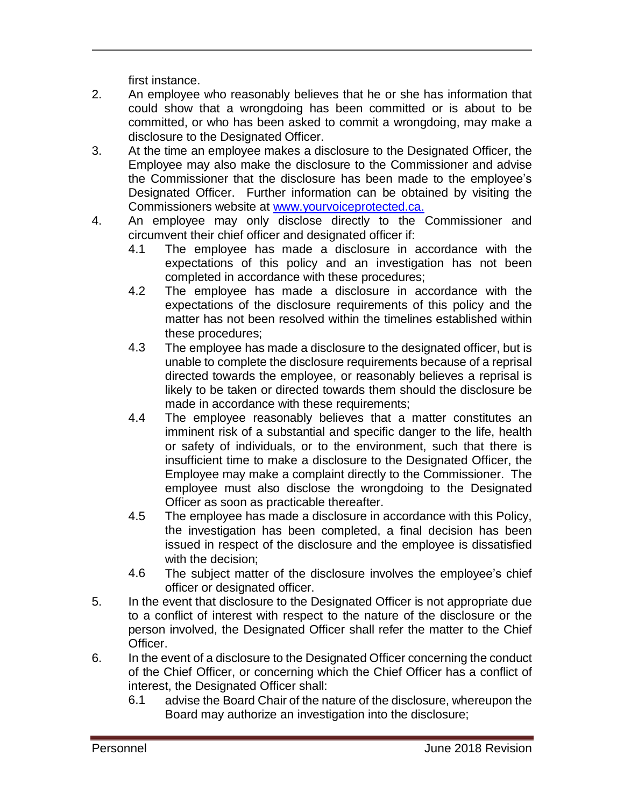first instance.

- 2. An employee who reasonably believes that he or she has information that could show that a wrongdoing has been committed or is about to be committed, or who has been asked to commit a wrongdoing, may make a disclosure to the Designated Officer.
- 3. At the time an employee makes a disclosure to the Designated Officer, the Employee may also make the disclosure to the Commissioner and advise the Commissioner that the disclosure has been made to the employee's Designated Officer. Further information can be obtained by visiting the Commissioners website at [www.yourvoiceprotected.ca.](http://www.yourvoiceprotected.ca/)
- 4. An employee may only disclose directly to the Commissioner and circumvent their chief officer and designated officer if:
	- 4.1 The employee has made a disclosure in accordance with the expectations of this policy and an investigation has not been completed in accordance with these procedures;
	- 4.2 The employee has made a disclosure in accordance with the expectations of the disclosure requirements of this policy and the matter has not been resolved within the timelines established within these procedures;
	- 4.3 The employee has made a disclosure to the designated officer, but is unable to complete the disclosure requirements because of a reprisal directed towards the employee, or reasonably believes a reprisal is likely to be taken or directed towards them should the disclosure be made in accordance with these requirements;
	- 4.4 The employee reasonably believes that a matter constitutes an imminent risk of a substantial and specific danger to the life, health or safety of individuals, or to the environment, such that there is insufficient time to make a disclosure to the Designated Officer, the Employee may make a complaint directly to the Commissioner. The employee must also disclose the wrongdoing to the Designated Officer as soon as practicable thereafter.
	- 4.5 The employee has made a disclosure in accordance with this Policy, the investigation has been completed, a final decision has been issued in respect of the disclosure and the employee is dissatisfied with the decision;
	- 4.6 The subject matter of the disclosure involves the employee's chief officer or designated officer.
- 5. In the event that disclosure to the Designated Officer is not appropriate due to a conflict of interest with respect to the nature of the disclosure or the person involved, the Designated Officer shall refer the matter to the Chief Officer.
- 6. In the event of a disclosure to the Designated Officer concerning the conduct of the Chief Officer, or concerning which the Chief Officer has a conflict of interest, the Designated Officer shall:
	- 6.1 advise the Board Chair of the nature of the disclosure, whereupon the Board may authorize an investigation into the disclosure;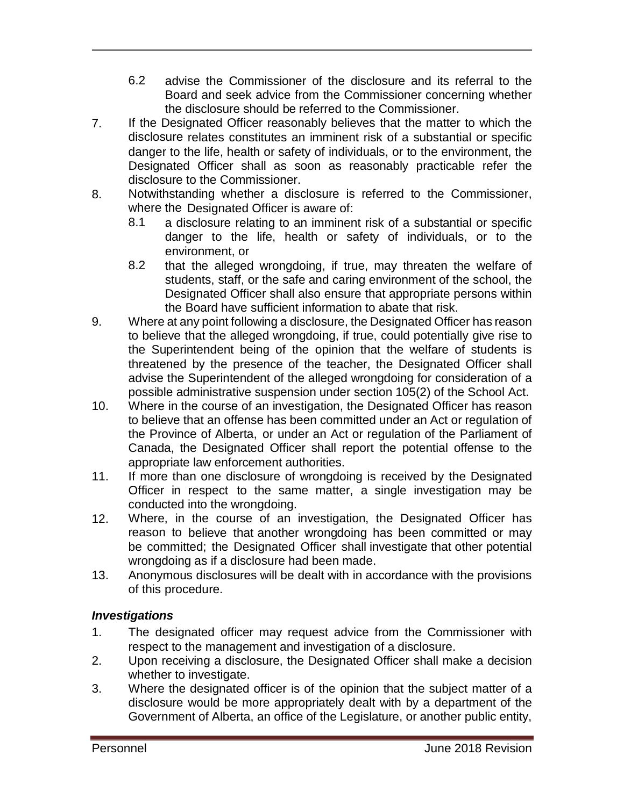- 6.2 advise the Commissioner of the disclosure and its referral to the Board and seek advice from the Commissioner concerning whether the disclosure should be referred to the Commissioner.
- 7. If the Designated Officer reasonably believes that the matter to which the disclosure relates constitutes an imminent risk of a substantial or specific danger to the life, health or safety of individuals, or to the environment, the Designated Officer shall as soon as reasonably practicable refer the disclosure to the Commissioner.
- 8. Notwithstanding whether a disclosure is referred to the Commissioner, where the Designated Officer is aware of:
	- 8.1 a disclosure relating to an imminent risk of a substantial or specific danger to the life, health or safety of individuals, or to the environment, or
	- 8.2 that the alleged wrongdoing, if true, may threaten the welfare of students, staff, or the safe and caring environment of the school, the Designated Officer shall also ensure that appropriate persons within the Board have sufficient information to abate that risk.
- 9. Where at any point following a disclosure, the Designated Officer has reason to believe that the alleged wrongdoing, if true, could potentially give rise to the Superintendent being of the opinion that the welfare of students is threatened by the presence of the teacher, the Designated Officer shall advise the Superintendent of the alleged wrongdoing for consideration of a possible administrative suspension under section 105(2) of the School Act.
- 10. Where in the course of an investigation, the Designated Officer has reason to believe that an offense has been committed under an Act or regulation of the Province of Alberta, or under an Act or regulation of the Parliament of Canada, the Designated Officer shall report the potential offense to the appropriate law enforcement authorities.
- 11. If more than one disclosure of wrongdoing is received by the Designated Officer in respect to the same matter, a single investigation may be conducted into the wrongdoing.
- 12. Where, in the course of an investigation, the Designated Officer has reason to believe that another wrongdoing has been committed or may be committed; the Designated Officer shall investigate that other potential wrongdoing as if a disclosure had been made.
- 13. Anonymous disclosures will be dealt with in accordance with the provisions of this procedure.

### *Investigations*

- 1. The designated officer may request advice from the Commissioner with respect to the management and investigation of a disclosure.
- 2. Upon receiving a disclosure, the Designated Officer shall make a decision whether to investigate.
- 3. Where the designated officer is of the opinion that the subject matter of a disclosure would be more appropriately dealt with by a department of the Government of Alberta, an office of the Legislature, or another public entity,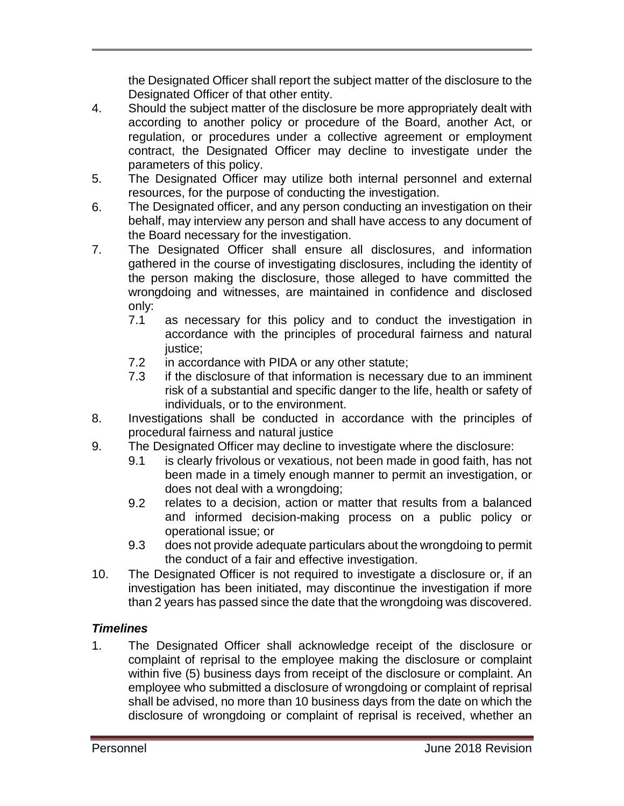the Designated Officer shall report the subject matter of the disclosure to the Designated Officer of that other entity.

- 4. Should the subject matter of the disclosure be more appropriately dealt with according to another policy or procedure of the Board, another Act, or regulation, or procedures under a collective agreement or employment contract, the Designated Officer may decline to investigate under the parameters of this policy.
- 5. The Designated Officer may utilize both internal personnel and external resources, for the purpose of conducting the investigation.
- 6. The Designated officer, and any person conducting an investigation on their behalf, may interview any person and shall have access to any document of the Board necessary for the investigation.
- 7. The Designated Officer shall ensure all disclosures, and information gathered in the course of investigating disclosures, including the identity of the person making the disclosure, those alleged to have committed the wrongdoing and witnesses, are maintained in confidence and disclosed only:
	- 7.1 as necessary for this policy and to conduct the investigation in accordance with the principles of procedural fairness and natural justice:
	- 7.2 in accordance with PIDA or any other statute;
	- 7.3 if the disclosure of that information is necessary due to an imminent risk of a substantial and specific danger to the life, health or safety of individuals, or to the environment.
- 8. Investigations shall be conducted in accordance with the principles of procedural fairness and natural justice
- 9. The Designated Officer may decline to investigate where the disclosure:
	- 9.1 is clearly frivolous or vexatious, not been made in good faith, has not been made in a timely enough manner to permit an investigation, or does not deal with a wrongdoing;
	- 9.2 relates to a decision, action or matter that results from a balanced and informed decision-making process on a public policy or operational issue; or
	- 9.3 does not provide adequate particulars about the wrongdoing to permit the conduct of a fair and effective investigation.
- 10. The Designated Officer is not required to investigate a disclosure or, if an investigation has been initiated, may discontinue the investigation if more than 2 years has passed since the date that the wrongdoing was discovered.

### *Timelines*

1. The Designated Officer shall acknowledge receipt of the disclosure or complaint of reprisal to the employee making the disclosure or complaint within five (5) business days from receipt of the disclosure or complaint. An employee who submitted a disclosure of wrongdoing or complaint of reprisal shall be advised, no more than 10 business days from the date on which the disclosure of wrongdoing or complaint of reprisal is received, whether an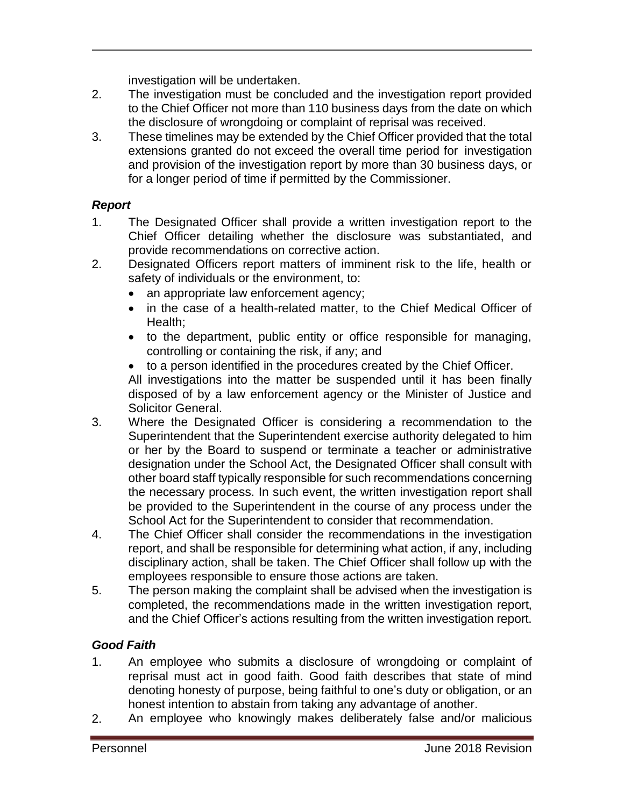investigation will be undertaken.

- 2. The investigation must be concluded and the investigation report provided to the Chief Officer not more than 110 business days from the date on which the disclosure of wrongdoing or complaint of reprisal was received.
- 3. These timelines may be extended by the Chief Officer provided that the total extensions granted do not exceed the overall time period for investigation and provision of the investigation report by more than 30 business days, or for a longer period of time if permitted by the Commissioner.

### *Report*

- 1. The Designated Officer shall provide a written investigation report to the Chief Officer detailing whether the disclosure was substantiated, and provide recommendations on corrective action.
- 2. Designated Officers report matters of imminent risk to the life, health or safety of individuals or the environment, to:
	- an appropriate law enforcement agency;
	- in the case of a health-related matter, to the Chief Medical Officer of Health;
	- to the department, public entity or office responsible for managing, controlling or containing the risk, if any; and
	- to a person identified in the procedures created by the Chief Officer.

All investigations into the matter be suspended until it has been finally disposed of by a law enforcement agency or the Minister of Justice and Solicitor General.

- 3. Where the Designated Officer is considering a recommendation to the Superintendent that the Superintendent exercise authority delegated to him or her by the Board to suspend or terminate a teacher or administrative designation under the School Act, the Designated Officer shall consult with other board staff typically responsible for such recommendations concerning the necessary process. In such event, the written investigation report shall be provided to the Superintendent in the course of any process under the School Act for the Superintendent to consider that recommendation.
- 4. The Chief Officer shall consider the recommendations in the investigation report, and shall be responsible for determining what action, if any, including disciplinary action, shall be taken. The Chief Officer shall follow up with the employees responsible to ensure those actions are taken.
- 5. The person making the complaint shall be advised when the investigation is completed, the recommendations made in the written investigation report, and the Chief Officer's actions resulting from the written investigation report.

### *Good Faith*

- 1. An employee who submits a disclosure of wrongdoing or complaint of reprisal must act in good faith. Good faith describes that state of mind denoting honesty of purpose, being faithful to one's duty or obligation, or an honest intention to abstain from taking any advantage of another.
- 2. An employee who knowingly makes deliberately false and/or malicious